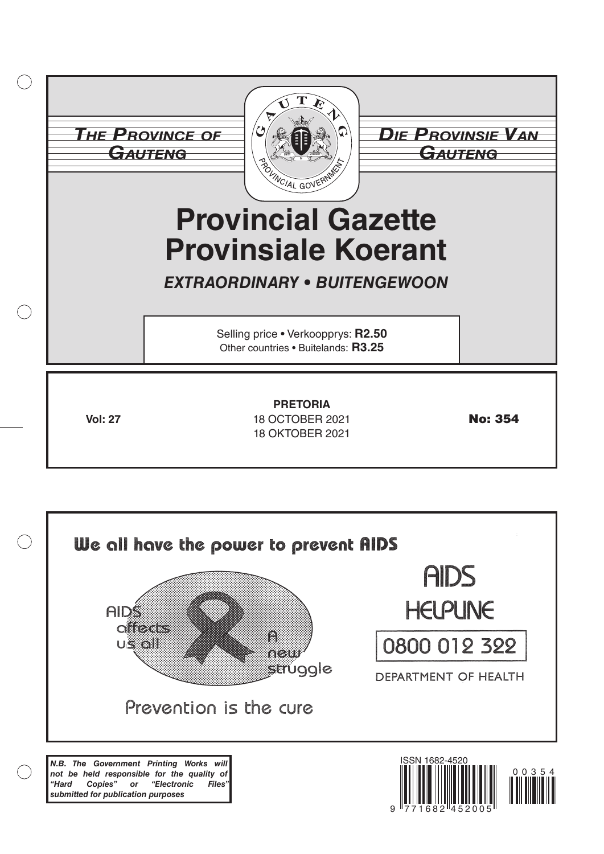|           | <b>THE PROVINCE OF</b><br><b>DIE PROVINSIE VAN</b><br>GAUTENG<br><b>GAUTENG</b><br>WINCIAL GOVERN<br><b>Provincial Gazette</b><br><b>Provinsiale Koerant</b><br><b>EXTRAORDINARY • BUITENGEWOON</b> |                                                                           |                |  |  |
|-----------|-----------------------------------------------------------------------------------------------------------------------------------------------------------------------------------------------------|---------------------------------------------------------------------------|----------------|--|--|
| $\bigcap$ |                                                                                                                                                                                                     | Selling price • Verkoopprys: R2.50<br>Other countries . Buitelands: R3.25 |                |  |  |
|           | <b>Vol: 27</b>                                                                                                                                                                                      | <b>PRETORIA</b><br>18 OCTOBER 2021<br><b>18 OKTOBER 2021</b>              | <b>No: 354</b> |  |  |

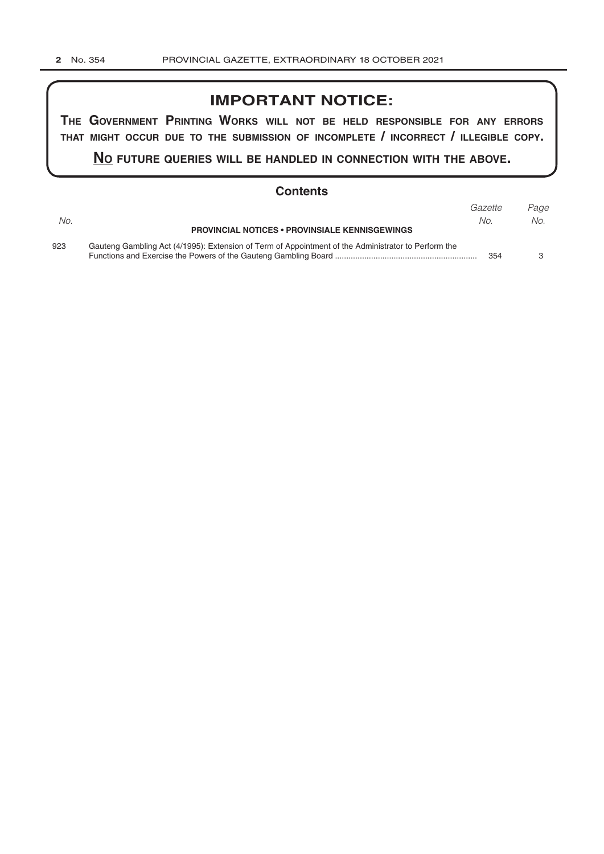## **IMPORTANT NOTICE:**

**The GovernmenT PrinTinG Works Will noT be held resPonsible for any errors ThaT miGhT occur due To The submission of incomPleTe / incorrecT / illeGible coPy.**

**no fuTure queries Will be handled in connecTion WiTh The above.**

**Contents**

| No. | <b>PROVINCIAL NOTICES • PROVINSIALE KENNISGEWINGS</b>                                               | Gazette<br>No. | Page<br>No. |
|-----|-----------------------------------------------------------------------------------------------------|----------------|-------------|
| 923 | Gauteng Gambling Act (4/1995): Extension of Term of Appointment of the Administrator to Perform the | 354            |             |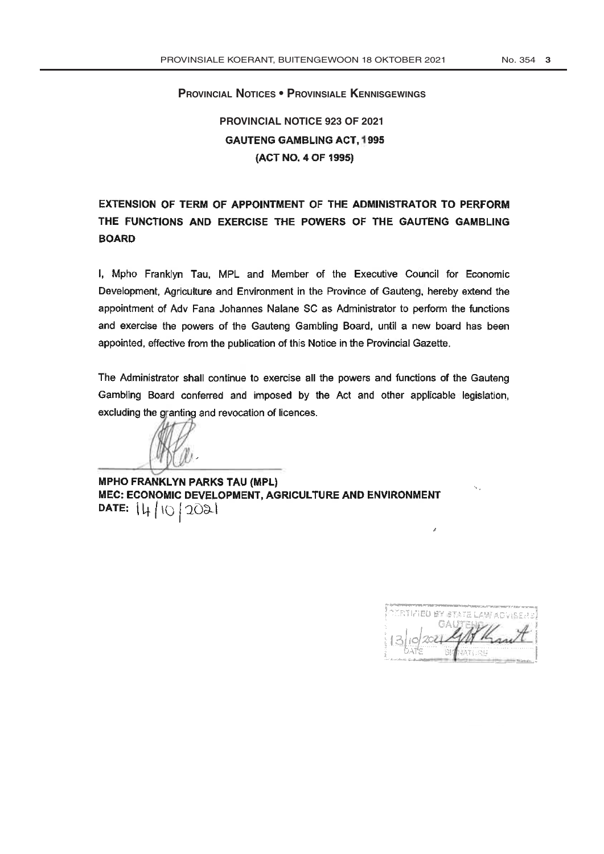## **Provincial NoTices • Provinsiale kennisGeWinGs**

## **PROVINCIAL NOTICE 923 OF 2021 GAUTENG GAMBLING ACT. 1995** (ACT NO. 4 OF 1995)

## EXTENSION OF TERM OF APPOINTMENT OF THE ADMINISTRATOR TO PERFORM THE FUNCTIONS AND EXERCISE THE POWERS OF THE GAUTENG GAMBLING **BOARD**

I, Mpho Franklyn Tau, MPL and Member of the Executive Council for Economic Development, Agriculture and Environment in the Province of Gauteng, hereby extend the appointment of Adv Fana Johannes Nalane SC as Administrator to perform the functions and exercise the powers of the Gauteng Gambling Board, until a new board has been appointed, effective from the publication of this Notice in the Provincial Gazette.

The Administrator shall continue to exercise all the powers and functions of the Gauteng Gambling Board conferred and imposed by the Act and other applicable legislation, excluding the granting and revocation of licences.

**MPHO FRANKLYN PARKS TAU (MPL)** MEC: ECONOMIC DEVELOPMENT, AGRICULTURE AND ENVIRONMENT DATE:  $14/10/2021$ 

**ENTIFIED BY STATE LAW ADVISER** 418 Kmit